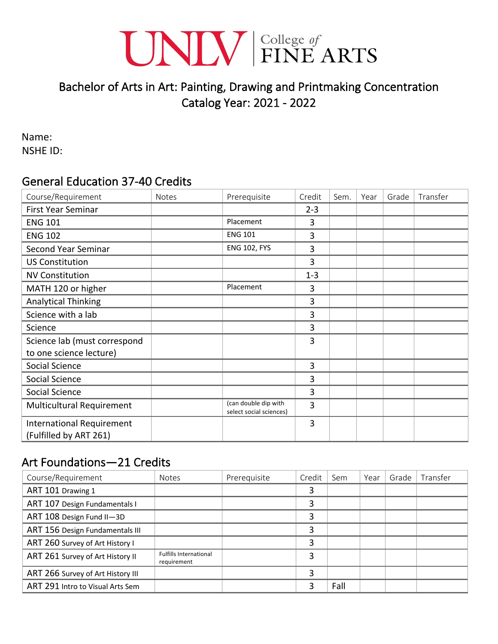# UNIV EINE ARTS

# Bachelor of Arts in Art: Painting, Drawing and Printmaking Concentration Catalog Year: 2021 - 2022

Name: NSHE ID:

#### General Education 37-40 Credits

| Course/Requirement                                         | <b>Notes</b> | Prerequisite                                    | Credit  | Sem. | Year | Grade | Transfer |
|------------------------------------------------------------|--------------|-------------------------------------------------|---------|------|------|-------|----------|
| <b>First Year Seminar</b>                                  |              |                                                 | $2 - 3$ |      |      |       |          |
| <b>ENG 101</b>                                             |              | Placement                                       | 3       |      |      |       |          |
| <b>ENG 102</b>                                             |              | <b>ENG 101</b>                                  | 3       |      |      |       |          |
| <b>Second Year Seminar</b>                                 |              | <b>ENG 102, FYS</b>                             | 3       |      |      |       |          |
| <b>US Constitution</b>                                     |              |                                                 | 3       |      |      |       |          |
| <b>NV Constitution</b>                                     |              |                                                 | $1 - 3$ |      |      |       |          |
| MATH 120 or higher                                         |              | Placement                                       | 3       |      |      |       |          |
| <b>Analytical Thinking</b>                                 |              |                                                 | 3       |      |      |       |          |
| Science with a lab                                         |              |                                                 | 3       |      |      |       |          |
| Science                                                    |              |                                                 | 3       |      |      |       |          |
| Science lab (must correspond                               |              |                                                 | 3       |      |      |       |          |
| to one science lecture)                                    |              |                                                 |         |      |      |       |          |
| Social Science                                             |              |                                                 | 3       |      |      |       |          |
| Social Science                                             |              |                                                 | 3       |      |      |       |          |
| Social Science                                             |              |                                                 | 3       |      |      |       |          |
| Multicultural Requirement                                  |              | (can double dip with<br>select social sciences) | 3       |      |      |       |          |
| <b>International Requirement</b><br>(Fulfilled by ART 261) |              |                                                 | 3       |      |      |       |          |

# Art Foundations—21 Credits

| Course/Requirement                | <b>Notes</b>                                 | Prerequisite | Credit | Sem  | Year | Grade | Transfer |
|-----------------------------------|----------------------------------------------|--------------|--------|------|------|-------|----------|
| ART 101 Drawing 1                 |                                              |              | 3      |      |      |       |          |
| ART 107 Design Fundamentals I     |                                              |              | 3      |      |      |       |          |
| ART 108 Design Fund II-3D         |                                              |              | 3      |      |      |       |          |
| ART 156 Design Fundamentals III   |                                              |              | 3      |      |      |       |          |
| ART 260 Survey of Art History I   |                                              |              | 3      |      |      |       |          |
| ART 261 Survey of Art History II  | <b>Fulfills International</b><br>requirement |              | 3      |      |      |       |          |
| ART 266 Survey of Art History III |                                              |              | 3      |      |      |       |          |
| ART 291 Intro to Visual Arts Sem  |                                              |              | 3      | Fall |      |       |          |